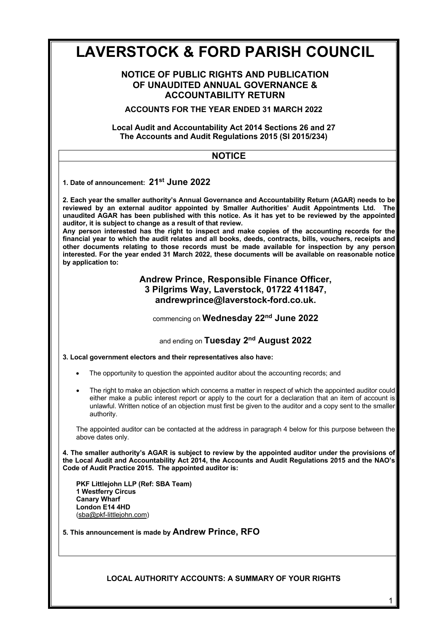# **LAVERSTOCK & FORD PARISH COUNCIL**

# **NOTICE OF PUBLIC RIGHTS AND PUBLICATION OF UNAUDITED ANNUAL GOVERNANCE & ACCOUNTABILITY RETURN**

**ACCOUNTS FOR THE YEAR ENDED 31 MARCH 2022**

## **Local Audit and Accountability Act 2014 Sections 26 and 27 The Accounts and Audit Regulations 2015 (SI 2015/234)**

| The Accounts and Audit Regulations 2015 (5) 2019/204)                                                                                                                                                                                                                                                                                                                                                                                                                                                                                                                                                                                                                                                                                             |  |  |
|---------------------------------------------------------------------------------------------------------------------------------------------------------------------------------------------------------------------------------------------------------------------------------------------------------------------------------------------------------------------------------------------------------------------------------------------------------------------------------------------------------------------------------------------------------------------------------------------------------------------------------------------------------------------------------------------------------------------------------------------------|--|--|
| <b>NOTICE</b>                                                                                                                                                                                                                                                                                                                                                                                                                                                                                                                                                                                                                                                                                                                                     |  |  |
| 1. Date of announcement: 21 <sup>st</sup> June 2022<br>2. Each year the smaller authority's Annual Governance and Accountability Return (AGAR) needs to be<br>reviewed by an external auditor appointed by Smaller Authorities' Audit Appointments Ltd. The<br>unaudited AGAR has been published with this notice. As it has yet to be reviewed by the appointed<br>auditor, it is subject to change as a result of that review.<br>Any person interested has the right to inspect and make copies of the accounting records for the<br>financial year to which the audit relates and all books, deeds, contracts, bills, vouchers, receipts and<br>other documents relating to those records must be made available for inspection by any person |  |  |
| interested. For the year ended 31 March 2022, these documents will be available on reasonable notice<br>by application to:                                                                                                                                                                                                                                                                                                                                                                                                                                                                                                                                                                                                                        |  |  |
| Andrew Prince, Responsible Finance Officer,<br>3 Pilgrims Way, Laverstock, 01722 411847,<br>andrewprince@laverstock-ford.co.uk.                                                                                                                                                                                                                                                                                                                                                                                                                                                                                                                                                                                                                   |  |  |
| commencing on Wednesday 22 <sup>nd</sup> June 2022                                                                                                                                                                                                                                                                                                                                                                                                                                                                                                                                                                                                                                                                                                |  |  |
| and ending on Tuesday 2 <sup>nd</sup> August 2022                                                                                                                                                                                                                                                                                                                                                                                                                                                                                                                                                                                                                                                                                                 |  |  |
| 3. Local government electors and their representatives also have:                                                                                                                                                                                                                                                                                                                                                                                                                                                                                                                                                                                                                                                                                 |  |  |
| The opportunity to question the appointed auditor about the accounting records; and<br>$\bullet$                                                                                                                                                                                                                                                                                                                                                                                                                                                                                                                                                                                                                                                  |  |  |
| The right to make an objection which concerns a matter in respect of which the appointed auditor could<br>$\bullet$<br>either make a public interest report or apply to the court for a declaration that an item of account is<br>unlawful. Written notice of an objection must first be given to the auditor and a copy sent to the smaller<br>authority.                                                                                                                                                                                                                                                                                                                                                                                        |  |  |
| The appointed auditor can be contacted at the address in paragraph 4 below for this purpose between the<br>above dates only.                                                                                                                                                                                                                                                                                                                                                                                                                                                                                                                                                                                                                      |  |  |
| 4. The smaller authority's AGAR is subject to review by the appointed auditor under the provisions of<br>the Local Audit and Accountability Act 2014, the Accounts and Audit Regulations 2015 and the NAO's<br>Code of Audit Practice 2015. The appointed auditor is:                                                                                                                                                                                                                                                                                                                                                                                                                                                                             |  |  |
| PKF Littlejohn LLP (Ref: SBA Team)<br><b>1 Westferry Circus</b><br><b>Canary Wharf</b><br>London E14 4HD                                                                                                                                                                                                                                                                                                                                                                                                                                                                                                                                                                                                                                          |  |  |
| (sba@pkf-littlejohn.com)                                                                                                                                                                                                                                                                                                                                                                                                                                                                                                                                                                                                                                                                                                                          |  |  |
| 5. This announcement is made by Andrew Prince, RFO                                                                                                                                                                                                                                                                                                                                                                                                                                                                                                                                                                                                                                                                                                |  |  |
| <b>LOCAL AUTHORITY ACCOUNTS: A SUMMARY OF YOUR RIGHTS</b>                                                                                                                                                                                                                                                                                                                                                                                                                                                                                                                                                                                                                                                                                         |  |  |

1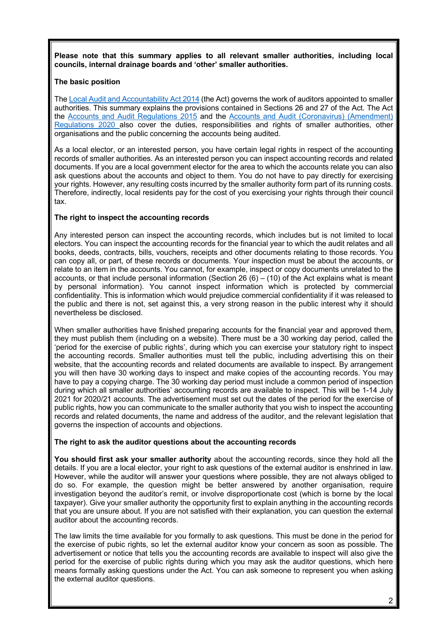**Please note that this summary applies to all relevant smaller authorities, including local councils, internal drainage boards and 'other' smaller authorities.**

#### **The basic position**

The Local Audit and Accountability Act 2014 (the Act) governs the work of auditors appointed to smaller authorities. This summary explains the provisions contained in Sections 26 and 27 of the Act. The Act the Accounts and Audit Regulations 2015 and the Accounts and Audit (Coronavirus) (Amendment) Regulations 2020 also cover the duties, responsibilities and rights of smaller authorities, other organisations and the public concerning the accounts being audited.

As a local elector, or an interested person, you have certain legal rights in respect of the accounting records of smaller authorities. As an interested person you can inspect accounting records and related documents. If you are a local government elector for the area to which the accounts relate you can also ask questions about the accounts and object to them. You do not have to pay directly for exercising your rights. However, any resulting costs incurred by the smaller authority form part of its running costs. Therefore, indirectly, local residents pay for the cost of you exercising your rights through their council tax.

#### **The right to inspect the accounting records**

Any interested person can inspect the accounting records, which includes but is not limited to local electors. You can inspect the accounting records for the financial year to which the audit relates and all books, deeds, contracts, bills, vouchers, receipts and other documents relating to those records. You can copy all, or part, of these records or documents. Your inspection must be about the accounts, or relate to an item in the accounts. You cannot, for example, inspect or copy documents unrelated to the accounts, or that include personal information (Section 26  $(6) - (10)$  of the Act explains what is meant by personal information). You cannot inspect information which is protected by commercial confidentiality. This is information which would prejudice commercial confidentiality if it was released to the public and there is not, set against this, a very strong reason in the public interest why it should nevertheless be disclosed.

When smaller authorities have finished preparing accounts for the financial year and approved them, they must publish them (including on a website). There must be a 30 working day period, called the 'period for the exercise of public rights', during which you can exercise your statutory right to inspect the accounting records. Smaller authorities must tell the public, including advertising this on their website, that the accounting records and related documents are available to inspect. By arrangement you will then have 30 working days to inspect and make copies of the accounting records. You may have to pay a copying charge. The 30 working day period must include a common period of inspection during which all smaller authorities' accounting records are available to inspect. This will be 1-14 July 2021 for 2020/21 accounts. The advertisement must set out the dates of the period for the exercise of public rights, how you can communicate to the smaller authority that you wish to inspect the accounting records and related documents, the name and address of the auditor, and the relevant legislation that governs the inspection of accounts and objections.

#### **The right to ask the auditor questions about the accounting records**

**You should first ask your smaller authority** about the accounting records, since they hold all the details. If you are a local elector, your right to ask questions of the external auditor is enshrined in law. However, while the auditor will answer your questions where possible, they are not always obliged to do so. For example, the question might be better answered by another organisation, require investigation beyond the auditor's remit, or involve disproportionate cost (which is borne by the local taxpayer). Give your smaller authority the opportunity first to explain anything in the accounting records that you are unsure about. If you are not satisfied with their explanation, you can question the external auditor about the accounting records.

The law limits the time available for you formally to ask questions. This must be done in the period for the exercise of pubic rights, so let the external auditor know your concern as soon as possible. The advertisement or notice that tells you the accounting records are available to inspect will also give the period for the exercise of public rights during which you may ask the auditor questions, which here means formally asking questions under the Act. You can ask someone to represent you when asking the external auditor questions.